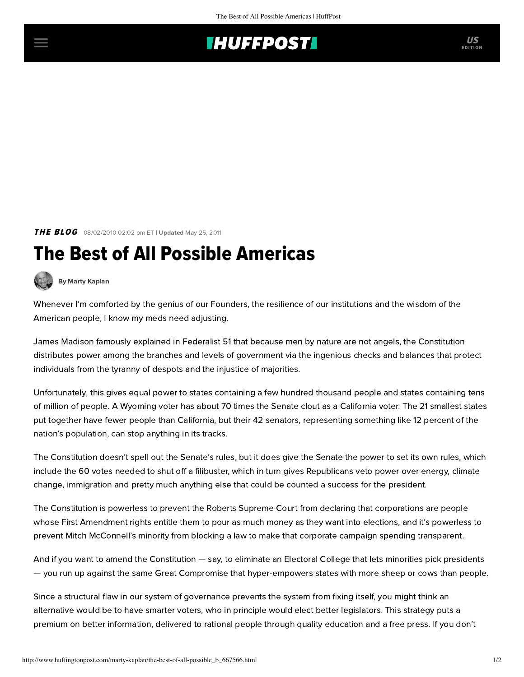## **THUFFPOSTI** US

**THE BLOG** 08/02/2010 02:02 pm ET | Updated May 25, 2011

## The Best of All Possible Americas



[By Marty Kaplan](http://www.huffingtonpost.com/author/marty-kaplan)

Whenever I'm comforted by the genius of our Founders, the resilience of our institutions and the wisdom of the American people, I know my meds need adjusting.

James Madison famously explained in Federalist 51 that because men by nature are not angels, the Constitution distributes power among the branches and levels of government via the ingenious checks and balances that protect individuals from the tyranny of despots and the injustice of majorities.

[Unfortunately,](http://www.washingtonpost.com/wp-dyn/content/article/2009/08/07/AR2009080702045.html) this gives equal power to states containing a few hundred thousand people and states containing tens of million of people. A Wyoming voter has about 70 times the Senate clout as a California voter. The 21 smallest states put together have fewer people than California, but their 42 senators, representing something like 12 percent of the nation's population, can stop anything in its tracks.

The Constitution doesn't spell out the Senate's rules, but it does give the Senate the power to set its own rules, which include the 60 votes needed to shut off a filibuster, which in turn gives Republicans veto power over energy, climate change, immigration and pretty much anything else that could be counted a success for the president.

The Constitution is powerless to prevent the Roberts Supreme Court from declaring that corporations are people whose First Amendment rights entitle them to pour as much money as they want into elections, and it's powerless to prevent Mitch McConnell's minority from blocking a law to make that corporate campaign spending transparent.

And if you want to amend the Constitution — say, to eliminate an Electoral College that lets minorities pick presidents — you run up against the same Great Compromise that hyper-empowers states with more sheep or cows than people.

Since a structural flaw in our system of governance prevents the system from fixing itself, you might think an alternative would be to have smarter voters, who in principle would elect better legislators. This strategy puts a premium on better information, delivered to rational people through quality education and a free press. If you don't